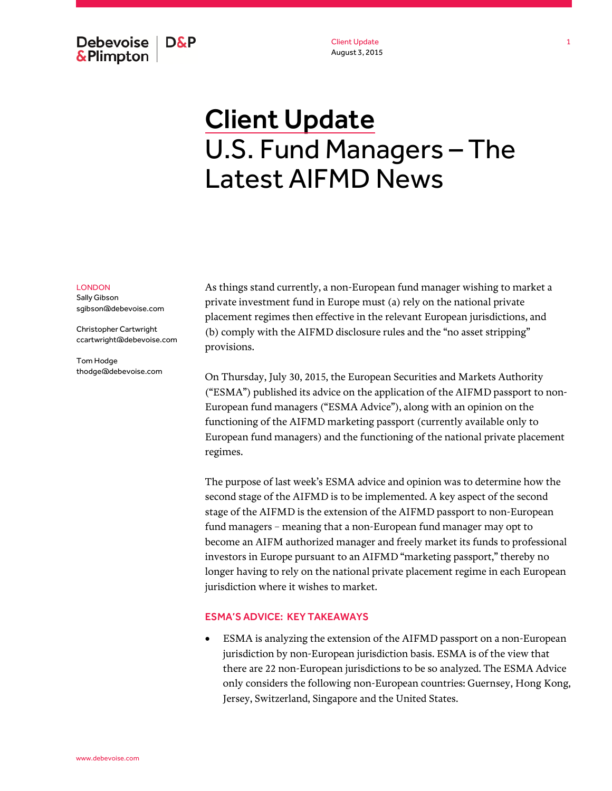Debevoise | **D&P** & Plimpton

Client Update August 3, 2015

# **Client Update** U.S. Fund Managers – The Latest AIFMD News

#### LONDON

Sally Gibson sgibson@debevoise.com

Christopher Cartwright ccartwright@debevoise.com

Tom Hodge thodge@debevoise.com As things stand currently, a non-European fund manager wishing to market a private investment fund in Europe must (a) rely on the national private placement regimes then effective in the relevant European jurisdictions, and (b) comply with the AIFMD disclosure rules and the "no asset stripping" provisions.

On Thursday, July 30, 2015, the European Securities and Markets Authority ("ESMA") published its advice on the application of the AIFMD passport to non-European fund managers ("ESMA Advice"), along with an opinion on the functioning of the AIFMD marketing passport (currently available only to European fund managers) and the functioning of the national private placement regimes.

The purpose of last week's ESMA advice and opinion was to determine how the second stage of the AIFMD is to be implemented. A key aspect of the second stage of the AIFMD is the extension of the AIFMD passport to non-European fund managers – meaning that a non-European fund manager may opt to become an AIFM authorized manager and freely market its funds to professional investors in Europe pursuant to an AIFMD "marketing passport," thereby no longer having to rely on the national private placement regime in each European jurisdiction where it wishes to market.

## ESMA'S ADVICE: KEY TAKEAWAYS

 ESMA is analyzing the extension of the AIFMD passport on a non-European jurisdiction by non-European jurisdiction basis. ESMA is of the view that there are 22 non-European jurisdictions to be so analyzed. The ESMA Advice only considers the following non-European countries: Guernsey, Hong Kong, Jersey, Switzerland, Singapore and the United States.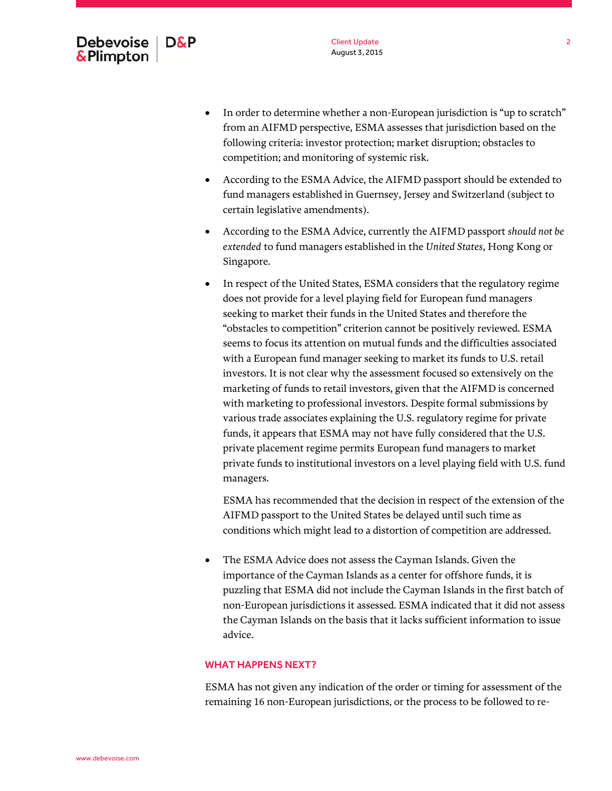- In order to determine whether a non-European jurisdiction is "up to scratch" from an AIFMD perspective, ESMA assesses that jurisdiction based on the following criteria: investor protection; market disruption; obstacles to competition; and monitoring of systemic risk.
- According to the ESMA Advice, the AIFMD passport should be extended to fund managers established in Guernsey, Jersey and Switzerland (subject to certain legislative amendments).
- According to the ESMA Advice, currently the AIFMD passport *should not be extended* to fund managers established in the *United States*, Hong Kong or Singapore.
- In respect of the United States, ESMA considers that the regulatory regime does not provide for a level playing field for European fund managers seeking to market their funds in the United States and therefore the "obstacles to competition" criterion cannot be positively reviewed. ESMA seems to focus its attention on mutual funds and the difficulties associated with a European fund manager seeking to market its funds to U.S. retail investors. It is not clear why the assessment focused so extensively on the marketing of funds to retail investors, given that the AIFMD is concerned with marketing to professional investors. Despite formal submissions by various trade associates explaining the U.S. regulatory regime for private funds, it appears that ESMA may not have fully considered that the U.S. private placement regime permits European fund managers to market private funds to institutional investors on a level playing field with U.S. fund managers.

ESMA has recommended that the decision in respect of the extension of the AIFMD passport to the United States be delayed until such time as conditions which might lead to a distortion of competition are addressed.

 The ESMA Advice does not assess the Cayman Islands. Given the importance of the Cayman Islands as a center for offshore funds, it is puzzling that ESMA did not include the Cayman Islands in the first batch of non-European jurisdictions it assessed. ESMA indicated that it did not assess the Cayman Islands on the basis that it lacks sufficient information to issue advice.

## WHAT HAPPENS NEXT?

ESMA has not given any indication of the order or timing for assessment of the remaining 16 non-European jurisdictions, or the process to be followed to re-

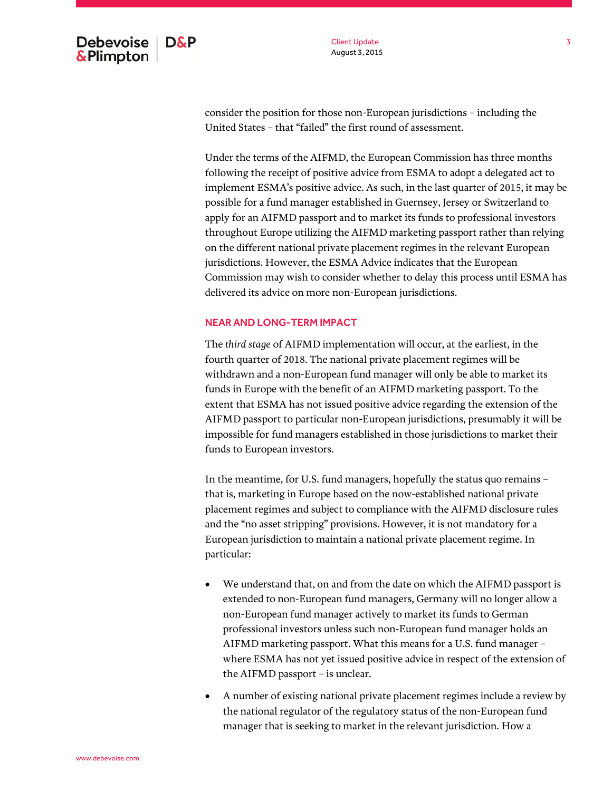Client Update August 3, 2015

consider the position for those non-European jurisdictions – including the United States – that "failed" the first round of assessment.

Under the terms of the AIFMD, the European Commission has three months following the receipt of positive advice from ESMA to adopt a delegated act to implement ESMA's positive advice. As such, in the last quarter of 2015, it may be possible for a fund manager established in Guernsey, Jersey or Switzerland to apply for an AIFMD passport and to market its funds to professional investors throughout Europe utilizing the AIFMD marketing passport rather than relying on the different national private placement regimes in the relevant European jurisdictions. However, the ESMA Advice indicates that the European Commission may wish to consider whether to delay this process until ESMA has delivered its advice on more non-European jurisdictions.

#### NEAR AND LONG-TERM IMPACT

The *third stage* of AIFMD implementation will occur, at the earliest, in the fourth quarter of 2018. The national private placement regimes will be withdrawn and a non-European fund manager will only be able to market its funds in Europe with the benefit of an AIFMD marketing passport. To the extent that ESMA has not issued positive advice regarding the extension of the AIFMD passport to particular non-European jurisdictions, presumably it will be impossible for fund managers established in those jurisdictions to market their funds to European investors.

In the meantime, for U.S. fund managers, hopefully the status quo remains – that is, marketing in Europe based on the now-established national private placement regimes and subject to compliance with the AIFMD disclosure rules and the "no asset stripping" provisions. However, it is not mandatory for a European jurisdiction to maintain a national private placement regime. In particular:

- We understand that, on and from the date on which the AIFMD passport is extended to non-European fund managers, Germany will no longer allow a non-European fund manager actively to market its funds to German professional investors unless such non-European fund manager holds an AIFMD marketing passport. What this means for a U.S. fund manager – where ESMA has not yet issued positive advice in respect of the extension of the AIFMD passport – is unclear.
- A number of existing national private placement regimes include a review by the national regulator of the regulatory status of the non-European fund manager that is seeking to market in the relevant jurisdiction. How a